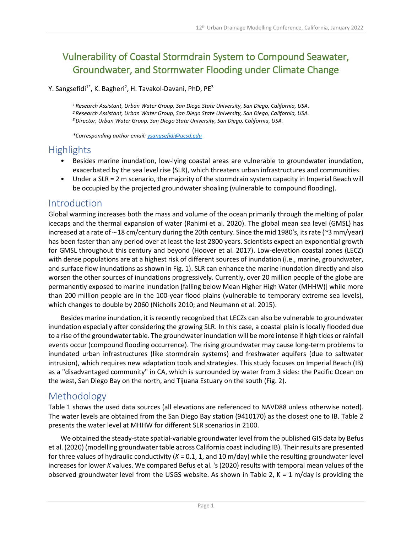# Vulnerability of Coastal Stormdrain System to Compound Seawater, Groundwater, and Stormwater Flooding under Climate Change

Y. Sangsefidi<sup>1\*</sup>, K. Bagheri<sup>2</sup>, H. Tavakol-Davani, PhD, PE<sup>3</sup>

*<sup>1</sup> Research Assistant, Urban Water Group, San Diego State University, San Diego, California, USA. <sup>2</sup> Research Assistant, Urban Water Group, San Diego State University, San Diego, California, USA. <sup>3</sup>Director, Urban Water Group, San Diego State University, San Diego, California, USA.*

*\*Corresponding author email: [ysangsefidi@ucsd.edu](mailto:ysangsefidi@ucsd.edu)*

## **Highlights**

- Besides marine inundation, low-lying coastal areas are vulnerable to groundwater inundation, exacerbated by the sea level rise (SLR), which threatens urban infrastructures and communities.
- Under a SLR = 2 m scenario, the majority of the stormdrain system capacity in Imperial Beach will be occupied by the projected groundwater shoaling (vulnerable to compound flooding).

#### Introduction

Global warming increases both the mass and volume of the ocean primarily through the melting of polar icecaps and the thermal expansion of water (Rahimi et al. 2020). The global mean sea level (GMSL) has increased at a rate of ∼18 cm/century during the 20th century. Since the mid 1980's, itsrate (~3 mm/year) has been faster than any period over at least the last 2800 years. Scientists expect an exponential growth for GMSL throughout this century and beyond (Hoover et al. 2017). Low-elevation coastal zones (LECZ) with dense populations are at a highest risk of different sources of inundation (i.e., marine, groundwater, and surface flow inundations as shown i[n Fig. 1\)](#page-1-0). SLR can enhance the marine inundation directly and also worsen the other sources of inundations progressively. Currently, over 20 million people of the globe are permanently exposed to marine inundation [falling below Mean Higher High Water (MHHW)] while more than 200 million people are in the 100-year flood plains (vulnerable to temporary extreme sea levels), which changes to double by 2060 (Nicholls 2010; and Neumann et al. 2015).

Besides marine inundation, it is recently recognized that LECZs can also be vulnerable to groundwater inundation especially after considering the growing SLR. In this case, a coastal plain is locally flooded due to a rise of the groundwater table. The groundwater inundation will be more intense if high tides or rainfall events occur (compound flooding occurrence). The rising groundwater may cause long-term problems to inundated urban infrastructures (like stormdrain systems) and freshwater aquifers (due to saltwater intrusion), which requires new adaptation tools and strategies. This study focuses on Imperial Beach (IB) as a "disadvantaged community" in CA, which is surrounded by water from 3 sides: the Pacific Ocean on the west, San Diego Bay on the north, and Tijuana Estuary on the south [\(Fig. 2\)](#page-1-1).

### Methodology

[Table 1](#page-1-2) shows the used data sources (all elevations are referenced to NAVD88 unless otherwise noted). The water levels are obtained from the San Diego Bay station (9410170) as the closest one to IB. [Table 2](#page-1-3) presents the water level at MHHW for different SLR scenarios in 2100.

We obtained the steady-state spatial-variable groundwater level from the published GIS data by Befus et al. (2020) (modelling groundwater table across California coast including IB). Their results are presented for three values of hydraulic conductivity ( $K = 0.1$ , 1, and 10 m/day) while the resulting groundwater level increases for lower *K* values. We compared Befus et al. 's (2020) results with temporal mean values of the observed groundwater level from the USGS website. As shown in [Table 2,](#page-1-3)  $K = 1$  m/day is providing the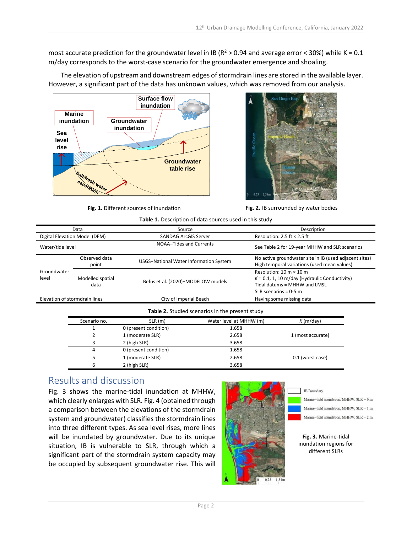most accurate prediction for the groundwater level in IB ( $R^2 > 0.94$  and average error < 30%) while K = 0.1 m/day corresponds to the worst-case scenario for the groundwater emergence and shoaling.

The elevation of upstream and downstream edges of stormdrain lines are stored in the available layer. However, a significant part of the data has unknown values, which was removed from our analysis.





Fig. 1. Different sources of inundation **Fig. 2.** IB surrounded by water bodies

<span id="page-1-1"></span>

**Table 1.** Description of data sources used in this study

<span id="page-1-2"></span><span id="page-1-0"></span>

| Data                          |                          | Source                                 |                                                 | Description                                                                                                                                                   |  |
|-------------------------------|--------------------------|----------------------------------------|-------------------------------------------------|---------------------------------------------------------------------------------------------------------------------------------------------------------------|--|
| Digital Elevation Model (DEM) |                          | <b>SANDAG ArcGIS Server</b>            |                                                 | Resolution: 2.5 ft $\times$ 2.5 ft                                                                                                                            |  |
| Water/tide level              |                          | NOAA-Tides and Currents                |                                                 | See Table 2 for 19-year MHHW and SLR scenarios                                                                                                                |  |
| Groundwater<br>level          | Observed data<br>point   | USGS-National Water Information System |                                                 | No active groundwater site in IB (used adjacent sites)<br>High temporal variations (used mean values)                                                         |  |
|                               | Modelled spatial<br>data | Befus et al. (2020)-MODFLOW models     |                                                 | Resolution: $10 \text{ m} \times 10 \text{ m}$<br>$K = 0.1$ , 1, 10 m/day (Hydraulic Conductivity)<br>Tidal datums = MHHW and LMSL<br>SLR scenarios = $0-5$ m |  |
| Elevation of stormdrain lines |                          | City of Imperial Beach                 |                                                 | Having some missing data                                                                                                                                      |  |
|                               |                          |                                        | Table 2. Studied scenarios in the present study |                                                                                                                                                               |  |
| Scenario no.                  |                          | SLR(m)                                 | Water level at MHHW (m)                         | K(m/day)                                                                                                                                                      |  |
|                               |                          | 0 (present condition)                  | 1.658                                           |                                                                                                                                                               |  |
|                               | 2                        | 1 (moderate SLR)                       | 2.658                                           | 1 (most accurate)                                                                                                                                             |  |
|                               | 3                        | 2 (high SLR)                           | 3.658                                           |                                                                                                                                                               |  |
|                               | 4                        | 0 (present condition)                  | 1.658                                           |                                                                                                                                                               |  |
|                               | 5                        | 1 (moderate SLR)                       | 2.658                                           | 0.1 (worst case)                                                                                                                                              |  |
|                               | 6                        | 2 (high SLR)                           | 3.658                                           |                                                                                                                                                               |  |

# <span id="page-1-3"></span>Results and discussion

[Fig. 3](#page-1-4) shows the marine-tidal inundation at MHHW, which clearly enlarges with SLR[. Fig. 4](#page-2-0) (obtained through a comparison between the elevations of the stormdrain system and groundwater) classifies the stormdrain lines into three different types. As sea level rises, more lines will be inundated by groundwater. Due to its unique situation, IB is vulnerable to SLR, through which a significant part of the stormdrain system capacity may be occupied by subsequent groundwater rise. This will



**IB** Boundary

Marine-tidal inundation, MHHW, SLR = 0 m Marine-tidal inundation, MHHW,  ${\rm SLR}=1~{\rm m}$ 

Marine-tidal inundation, MHHW, SLR = 2 m

<span id="page-1-4"></span>**Fig. 3.** Marine-tidal inundation regions for different SLRs